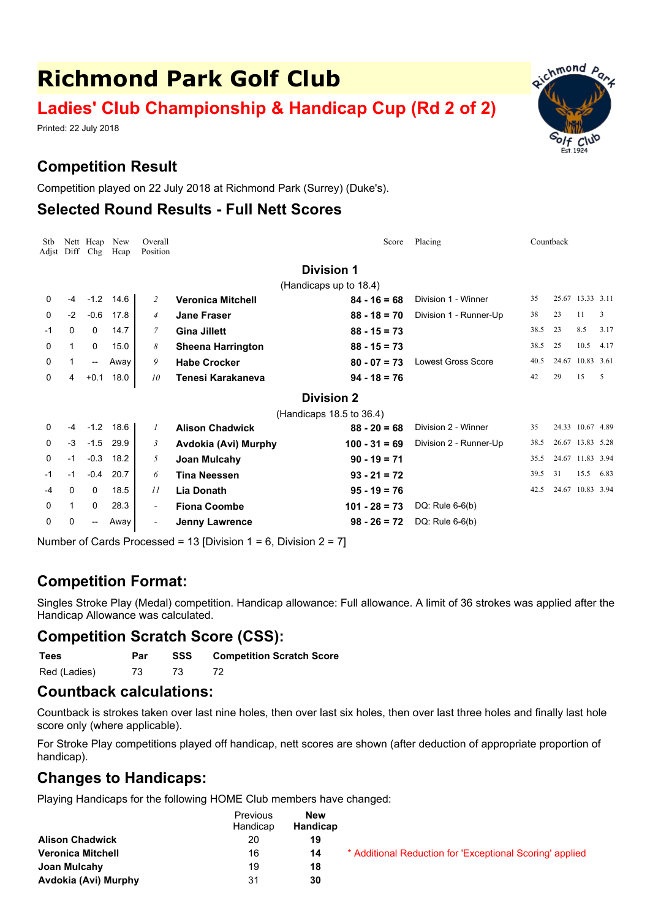# **Richmond Park Golf Club**

# **Ladies' Club Championship & Handicap Cup (Rd 2 of 2)**

Printed: 22 July 2018

# **Competition Result**

Competition played on 22 July 2018 at Richmond Park (Surrey) (Duke's).

#### **Selected Round Results - Full Nett Scores**

| Stb<br>Adjst           | Diff                     | Nett Heap<br>Chg | New<br>Hcap | Overall<br>Position      |                          | Placing<br>Countback<br>Score |                           |      |       |                  |      |
|------------------------|--------------------------|------------------|-------------|--------------------------|--------------------------|-------------------------------|---------------------------|------|-------|------------------|------|
| <b>Division 1</b>      |                          |                  |             |                          |                          |                               |                           |      |       |                  |      |
| (Handicaps up to 18.4) |                          |                  |             |                          |                          |                               |                           |      |       |                  |      |
| 0                      | $-4$                     | $-1.2$           | 14.6        | 2                        | <b>Veronica Mitchell</b> | $84 - 16 = 68$                | Division 1 - Winner       | 35   |       | 25.67 13.33 3.11 |      |
| 0                      | $-2$                     | $-0.6$           | 17.8        | $\overline{4}$           | <b>Jane Fraser</b>       | $88 - 18 = 70$                | Division 1 - Runner-Up    | 38   | 23    | 11               | 3    |
| -1                     | 0                        | 0                | 14.7        | 7                        | <b>Gina Jillett</b>      | $88 - 15 = 73$                |                           | 38.5 | 23    | 8.5              | 3.17 |
| 0                      | $\mathbf{1}$             | $\Omega$         | 15.0        | 8                        | <b>Sheena Harrington</b> | $88 - 15 = 73$                |                           | 38.5 | 25    | 10.5             | 4.17 |
| 0                      | $\mathbf{1}$             | --               | Away        | 9                        | <b>Habe Crocker</b>      | $80 - 07 = 73$                | <b>Lowest Gross Score</b> | 40.5 | 24.67 | 10.83 3.61       |      |
| 0                      | 4                        | $+0.1$           | 18.0        | 10                       | Tenesi Karakaneva        | $94 - 18 = 76$                |                           | 42   | 29    | 15               | .5   |
|                        | <b>Division 2</b>        |                  |             |                          |                          |                               |                           |      |       |                  |      |
|                        | (Handicaps 18.5 to 36.4) |                  |             |                          |                          |                               |                           |      |       |                  |      |
| 0                      | -4                       | $-1.2$           | 18.6        | $\mathcal{I}$            | <b>Alison Chadwick</b>   | $88 - 20 = 68$                | Division 2 - Winner       | 35   |       | 24.33 10.67 4.89 |      |
| 0                      | $-3$                     | $-1.5$           | 29.9        | 3                        | Avdokia (Avi) Murphy     | $100 - 31 = 69$               | Division 2 - Runner-Up    | 38.5 |       | 26.67 13.83 5.28 |      |
| 0                      | $-1$                     | $-0.3$           | 18.2        | 5                        | Joan Mulcahy             | $90 - 19 = 71$                |                           | 35.5 |       | 24.67 11.83 3.94 |      |
| -1                     | $-1$                     | $-0.4$           | 20.7        | 6                        | <b>Tina Neessen</b>      | $93 - 21 = 72$                |                           | 39.5 | 31    | 15.5             | 6.83 |
| $-4$                   | 0                        | 0                | 18.5        | 11                       | <b>Lia Donath</b>        | $95 - 19 = 76$                |                           | 42.5 |       | 24.67 10.83 3.94 |      |
| $\Omega$               | 1                        | 0                | 28.3        | $\overline{\phantom{0}}$ | <b>Fiona Coombe</b>      | $101 - 28 = 73$               | DQ: Rule $6-6(b)$         |      |       |                  |      |
| 0                      | 0                        | --               | Away        | $\overline{\phantom{a}}$ | <b>Jenny Lawrence</b>    | $98 - 26 = 72$                | DQ: Rule $6-6(b)$         |      |       |                  |      |
|                        |                          |                  |             |                          |                          |                               |                           |      |       |                  |      |

Number of Cards Processed = 13 [Division 1 = 6, Division 2 = 7]

## **Competition Format:**

Singles Stroke Play (Medal) competition. Handicap allowance: Full allowance. A limit of 36 strokes was applied after the Handicap Allowance was calculated.

## **Competition Scratch Score (CSS):**

**Tees Par SSS Competition Scratch Score** Red (Ladies) 73 73 72

#### **Countback calculations:**

Countback is strokes taken over last nine holes, then over last six holes, then over last three holes and finally last hole score only (where applicable).

For Stroke Play competitions played off handicap, nett scores are shown (after deduction of appropriate proportion of handicap).

#### **Changes to Handicaps:**

Playing Handicaps for the following HOME Club members have changed:

|                          | <b>Previous</b><br>Handicap | <b>New</b><br>Handicap |                                                          |
|--------------------------|-----------------------------|------------------------|----------------------------------------------------------|
| <b>Alison Chadwick</b>   | -20                         | 19                     |                                                          |
| <b>Veronica Mitchell</b> | 16                          | 14                     | * Additional Reduction for 'Exceptional Scoring' applied |
| Joan Mulcahy             | 19                          | 18                     |                                                          |
| Avdokia (Avi) Murphy     | 31                          | 30                     |                                                          |